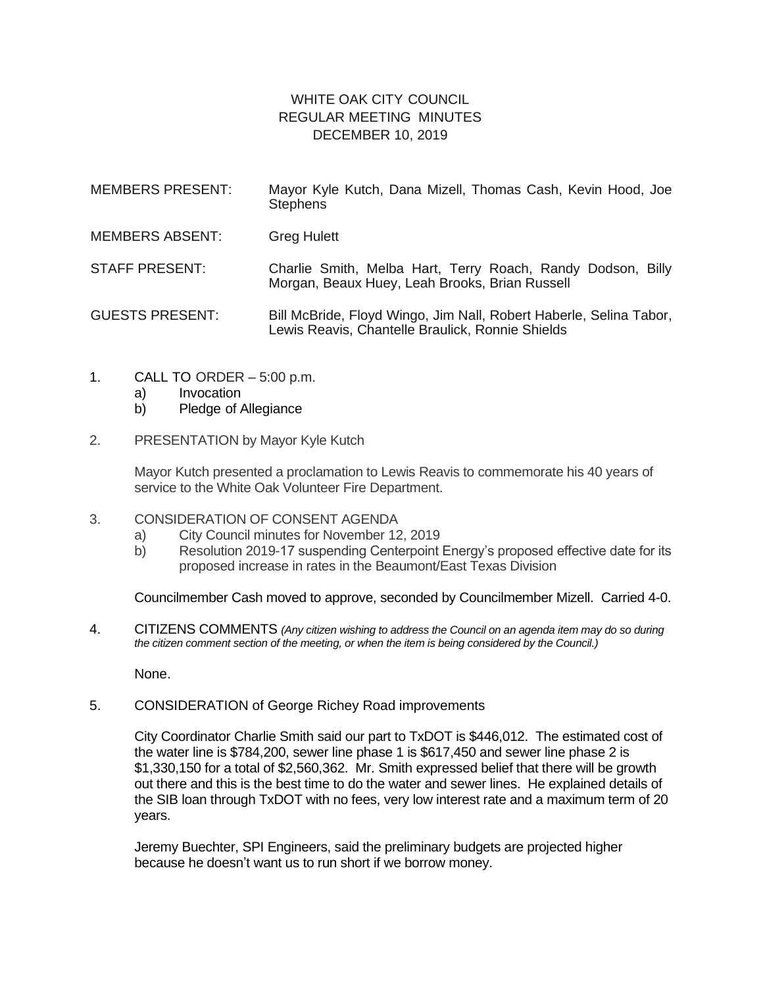## WHITE OAK CITY COUNCIL REGULAR MEETING MINUTES DECEMBER 10, 2019

| <b>MEMBERS PRESENT:</b> | Mayor Kyle Kutch, Dana Mizell, Thomas Cash, Kevin Hood, Joe<br><b>Stephens</b>                                         |
|-------------------------|------------------------------------------------------------------------------------------------------------------------|
| <b>MEMBERS ABSENT:</b>  | <b>Greg Hulett</b>                                                                                                     |
| <b>STAFF PRESENT:</b>   | Charlie Smith, Melba Hart, Terry Roach, Randy Dodson, Billy<br>Morgan, Beaux Huey, Leah Brooks, Brian Russell          |
| <b>GUESTS PRESENT:</b>  | Bill McBride, Floyd Wingo, Jim Nall, Robert Haberle, Selina Tabor,<br>Lewis Reavis, Chantelle Braulick, Ronnie Shields |

- 1. CALL TO ORDER 5:00 p.m.
	- a) Invocation
	- b) Pledge of Allegiance
- 2. PRESENTATION by Mayor Kyle Kutch

Mayor Kutch presented a proclamation to Lewis Reavis to commemorate his 40 years of service to the White Oak Volunteer Fire Department.

- 3. CONSIDERATION OF CONSENT AGENDA
	- a) City Council minutes for November 12, 2019
	- b) Resolution 2019-17 suspending Centerpoint Energy's proposed effective date for its proposed increase in rates in the Beaumont/East Texas Division

Councilmember Cash moved to approve, seconded by Councilmember Mizell. Carried 4-0.

4. CITIZENS COMMENTS *(Any citizen wishing to address the Council on an agenda item may do so during the citizen comment section of the meeting, or when the item is being considered by the Council.)*

None.

5. CONSIDERATION of George Richey Road improvements

City Coordinator Charlie Smith said our part to TxDOT is \$446,012. The estimated cost of the water line is \$784,200, sewer line phase 1 is \$617,450 and sewer line phase 2 is \$1,330,150 for a total of \$2,560,362. Mr. Smith expressed belief that there will be growth out there and this is the best time to do the water and sewer lines. He explained details of the SIB loan through TxDOT with no fees, very low interest rate and a maximum term of 20 years.

Jeremy Buechter, SPI Engineers, said the preliminary budgets are projected higher because he doesn't want us to run short if we borrow money.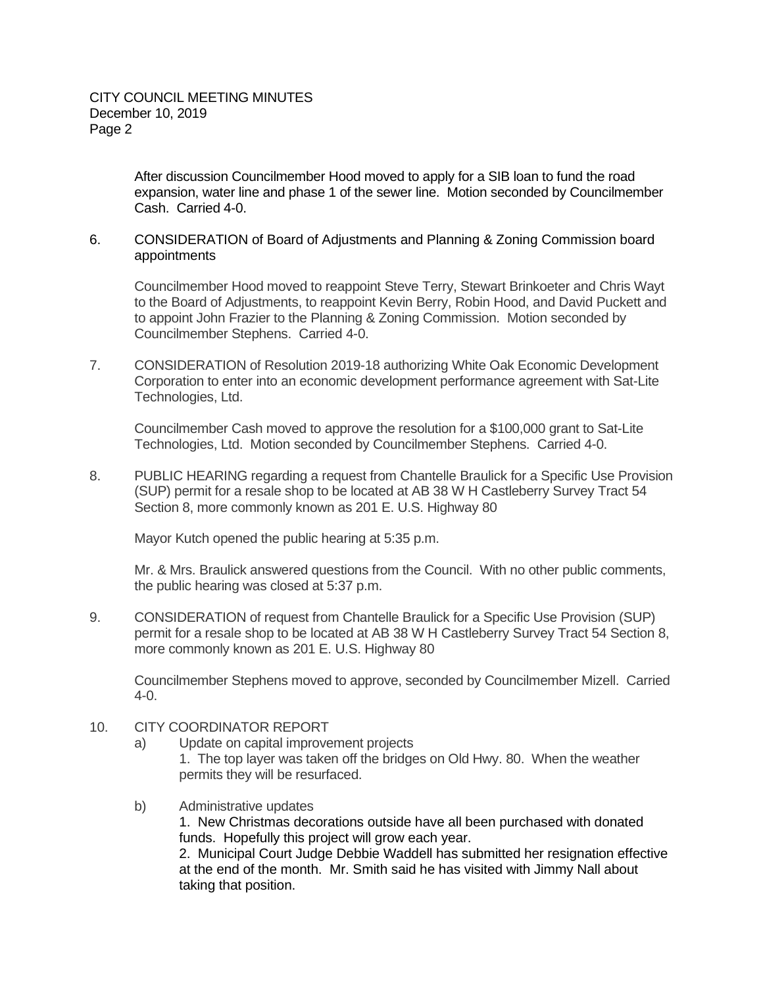After discussion Councilmember Hood moved to apply for a SIB loan to fund the road expansion, water line and phase 1 of the sewer line. Motion seconded by Councilmember Cash. Carried 4-0.

## 6. CONSIDERATION of Board of Adjustments and Planning & Zoning Commission board appointments

Councilmember Hood moved to reappoint Steve Terry, Stewart Brinkoeter and Chris Wayt to the Board of Adjustments, to reappoint Kevin Berry, Robin Hood, and David Puckett and to appoint John Frazier to the Planning & Zoning Commission. Motion seconded by Councilmember Stephens. Carried 4-0.

7. CONSIDERATION of Resolution 2019-18 authorizing White Oak Economic Development Corporation to enter into an economic development performance agreement with Sat-Lite Technologies, Ltd.

Councilmember Cash moved to approve the resolution for a \$100,000 grant to Sat-Lite Technologies, Ltd. Motion seconded by Councilmember Stephens. Carried 4-0.

8. PUBLIC HEARING regarding a request from Chantelle Braulick for a Specific Use Provision (SUP) permit for a resale shop to be located at AB 38 W H Castleberry Survey Tract 54 Section 8, more commonly known as 201 E. U.S. Highway 80

Mayor Kutch opened the public hearing at 5:35 p.m.

Mr. & Mrs. Braulick answered questions from the Council. With no other public comments, the public hearing was closed at 5:37 p.m.

9. CONSIDERATION of request from Chantelle Braulick for a Specific Use Provision (SUP) permit for a resale shop to be located at AB 38 W H Castleberry Survey Tract 54 Section 8, more commonly known as 201 E. U.S. Highway 80

Councilmember Stephens moved to approve, seconded by Councilmember Mizell. Carried 4-0.

- 10. CITY COORDINATOR REPORT
	- a) Update on capital improvement projects 1. The top layer was taken off the bridges on Old Hwy. 80. When the weather permits they will be resurfaced.
	- b) Administrative updates

1. New Christmas decorations outside have all been purchased with donated funds. Hopefully this project will grow each year.

2. Municipal Court Judge Debbie Waddell has submitted her resignation effective at the end of the month. Mr. Smith said he has visited with Jimmy Nall about taking that position.